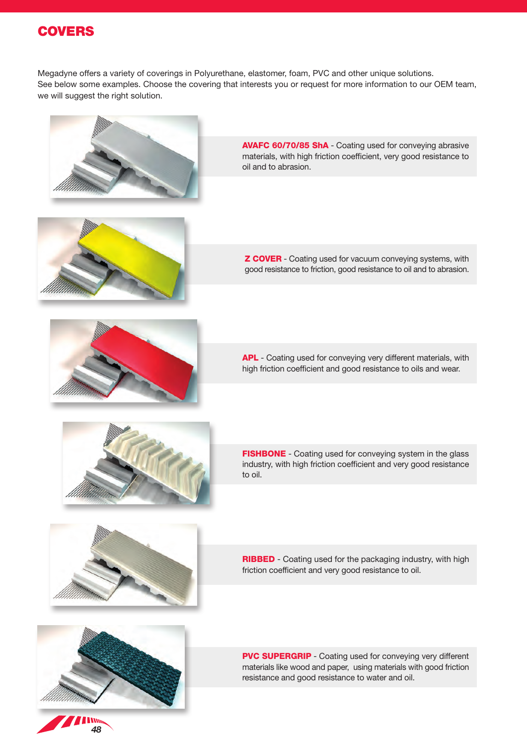

Megadyne offers a variety of coverings in Polyurethane, elastomer, foam, PVC and other unique solutions. See below some examples. Choose the covering that interests you or request for more information to our OEM team, we will suggest the right solution.



AVAFC 60/70/85 ShA - Coating used for conveying abrasive materials, with high friction coefficient, very good resistance to oil and to abrasion.



**Z COVER** - Coating used for vacuum conveying systems, with good resistance to friction, good resistance to oil and to abrasion.



APL - Coating used for conveying very different materials, with high friction coefficient and good resistance to oils and wear.



FISHBONE - Coating used for conveying system in the glass industry, with high friction coefficient and very good resistance to oil.



RIBBED - Coating used for the packaging industry, with high friction coefficient and very good resistance to oil.



*48*

PVC SUPERGRIP - Coating used for conveying very different materials like wood and paper, using materials with good friction resistance and good resistance to water and oil.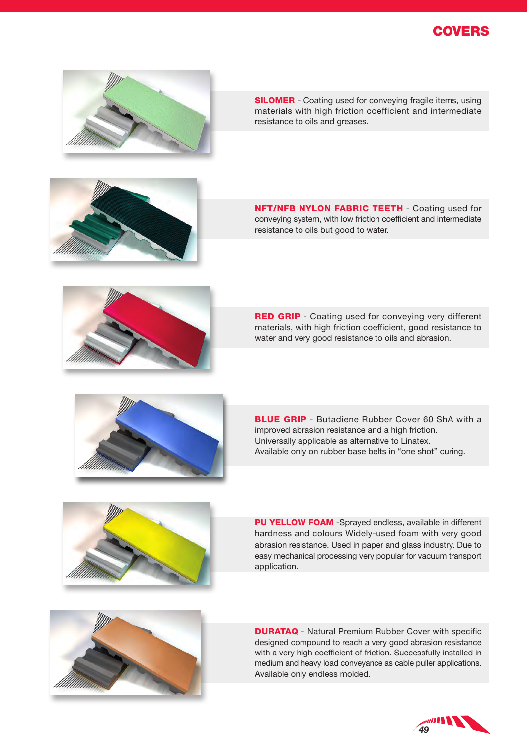



**SILOMER** - Coating used for conveying fragile items, using materials with high friction coefficient and intermediate resistance to oils and greases.



**NFT/NFB NYLON FABRIC TEETH - Coating used for** conveying system, with low friction coefficient and intermediate resistance to oils but good to water.



**RED GRIP** - Coating used for conveying very different materials, with high friction coefficient, good resistance to water and very good resistance to oils and abrasion.



**BLUE GRIP** - Butadiene Rubber Cover 60 ShA with a improved abrasion resistance and a high friction. Universally applicable as alternative to Linatex. Available only on rubber base belts in "one shot" curing.



PU YELLOW FOAM -Sprayed endless, available in different hardness and colours Widely-used foam with very good abrasion resistance. Used in paper and glass industry. Due to easy mechanical processing very popular for vacuum transport application.



**DURATAQ** - Natural Premium Rubber Cover with specific designed compound to reach a very good abrasion resistance with a very high coefficient of friction. Successfully installed in medium and heavy load conveyance as cable puller applications. Available only endless molded.

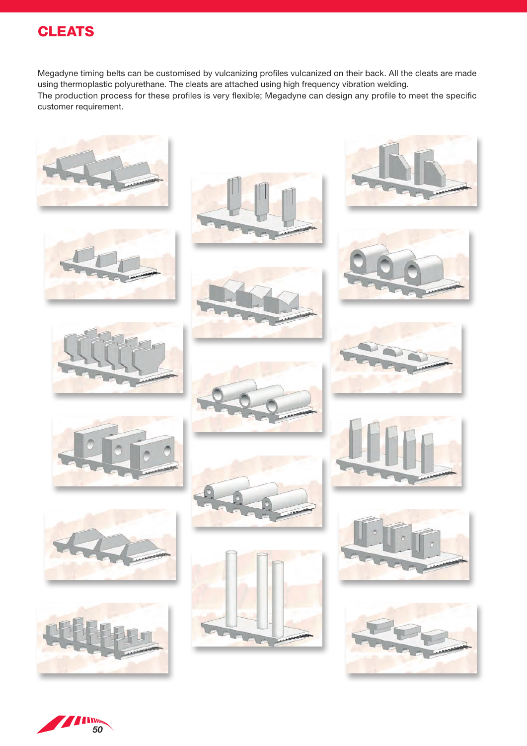# **CLEATS**

Megadyne timing belts can be customised by vulcanizing profiles vulcanized on their back. All the cleats are made using thermoplastic polyurethane. The cleats are attached using high frequency vibration welding. The production process for these profiles is very flexible; Megadyne can design any profile to meet the specific customer requirement.



































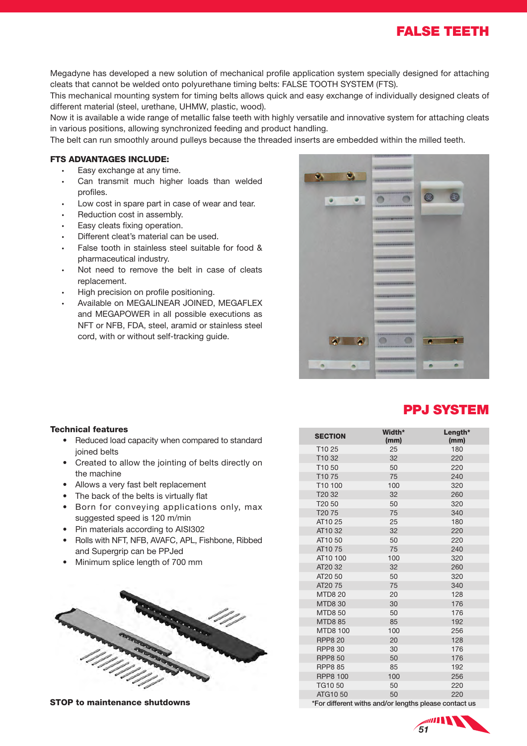FALSE TEETH

Megadyne has developed a new solution of mechanical profile application system specially designed for attaching cleats that cannot be welded onto polyurethane timing belts: FALSE TOOTH SYSTEM (FTS).

This mechanical mounting system for timing belts allows quick and easy exchange of individually designed cleats of different material (steel, urethane, UHMW, plastic, wood).

Now it is available a wide range of metallic false teeth with highly versatile and innovative system for attaching cleats in various positions, allowing synchronized feeding and product handling.

The belt can run smoothly around pulleys because the threaded inserts are embedded within the milled teeth.

### FTS ADVANTAGES INCLUDE:

- Easy exchange at any time.
- Can transmit much higher loads than welded profiles.
- Low cost in spare part in case of wear and tear.
- Reduction cost in assembly.
- Easy cleats fixing operation.
- Different cleat's material can be used.
- False tooth in stainless steel suitable for food & pharmaceutical industry.
- Not need to remove the belt in case of cleats replacement.
- High precision on profile positioning.
- Available on MEGALINEAR JOINED, MEGAFLEX and MEGAPOWER in all possible executions as NFT or NFB, FDA, steel, aramid or stainless steel cord, with or without self-tracking guide.



### PPJ SYSTEM

#### Technical features

- Reduced load capacity when compared to standard joined belts
- Created to allow the jointing of belts directly on the machine
- Allows a very fast belt replacement
- The back of the belts is virtually flat
- Born for conveying applications only, max suggested speed is 120 m/min
- Pin materials according to AISI302
- Rolls with NFT, NFB, AVAFC, APL, Fishbone, Ribbed and Supergrip can be PPJed
- Minimum splice length of 700 mm



**STOP to maintenance shutdowns** \*For different withs and/or lengths please contact us

| <b>SECTION</b>     | Width*<br>(mm) | Length*<br>(mm) |
|--------------------|----------------|-----------------|
| T1025              | 25             | 180             |
| T <sub>10</sub> 32 | 32             | 220             |
| T1050              | 50             | 220             |
| T <sub>10</sub> 75 | 75             | 240             |
| T10 100            | 100            | 320             |
| T <sub>20</sub> 32 | 32             | 260             |
| T <sub>20</sub> 50 | 50             | 320             |
| T20 75             | 75             | 340             |
| AT10 25            | 25             | 180             |
| AT1032             | 32             | 220             |
| AT10 50            | 50             | 220             |
| AT1075             | 75             | 240             |
| AT10 100           | 100            | 320             |
| AT20 32            | 32             | 260             |
| AT20 50            | 50             | 320             |
| AT20 75            | 75             | 340             |
| <b>MTD820</b>      | 20             | 128             |
| <b>MTD8 30</b>     | 30             | 176             |
| <b>MTD8 50</b>     | 50             | 176             |
| <b>MTD8 85</b>     | 85             | 192             |
| <b>MTD8 100</b>    | 100            | 256             |
| <b>RPP8 20</b>     | 20             | 128             |
| <b>RPP8 30</b>     | 30             | 176             |
| <b>RPP8 50</b>     | 50             | 176             |
| <b>RPP8 85</b>     | 85             | 192             |
| <b>RPP8 100</b>    | 100            | 256             |
| <b>TG1050</b>      | 50             | 220             |
| ATG1050            | 50             | 220             |